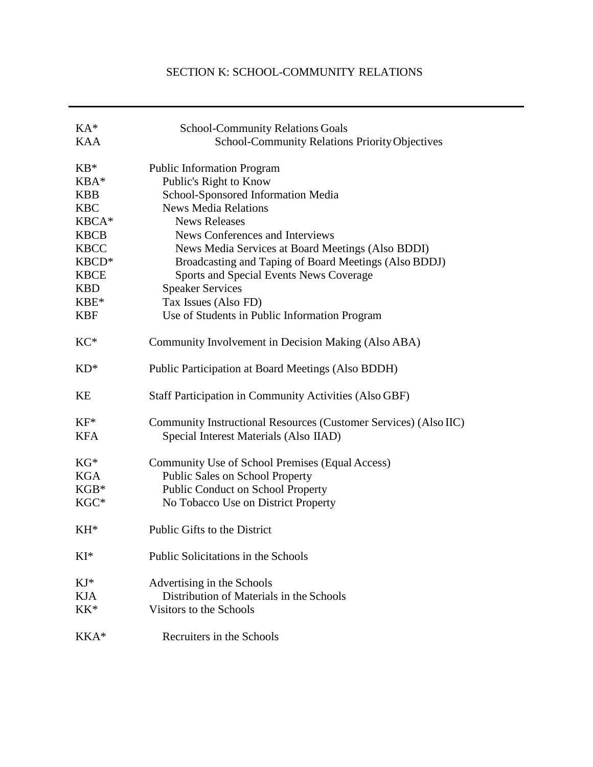# SECTION K: SCHOOL-COMMUNITY RELATIONS

| $KA^*$      | <b>School-Community Relations Goals</b>                          |
|-------------|------------------------------------------------------------------|
| <b>KAA</b>  | <b>School-Community Relations Priority Objectives</b>            |
|             |                                                                  |
| $KB*$       | <b>Public Information Program</b>                                |
| KBA*        | Public's Right to Know                                           |
| <b>KBB</b>  | School-Sponsored Information Media                               |
| <b>KBC</b>  | <b>News Media Relations</b>                                      |
| KBCA*       | <b>News Releases</b>                                             |
| <b>KBCB</b> | News Conferences and Interviews                                  |
| <b>KBCC</b> | News Media Services at Board Meetings (Also BDDI)                |
| KBCD*       | Broadcasting and Taping of Board Meetings (Also BDDJ)            |
| <b>KBCE</b> | Sports and Special Events News Coverage                          |
| <b>KBD</b>  | <b>Speaker Services</b>                                          |
| $KBE*$      | Tax Issues (Also FD)                                             |
| <b>KBF</b>  | Use of Students in Public Information Program                    |
| $KC*$       | Community Involvement in Decision Making (Also ABA)              |
| $KD^*$      | Public Participation at Board Meetings (Also BDDH)               |
| KE          | <b>Staff Participation in Community Activities (Also GBF)</b>    |
| $KF^*$      | Community Instructional Resources (Customer Services) (Also IIC) |
| <b>KFA</b>  | Special Interest Materials (Also IIAD)                           |
| $KG*$       | Community Use of School Premises (Equal Access)                  |
| <b>KGA</b>  | <b>Public Sales on School Property</b>                           |
| $KGB*$      | Public Conduct on School Property                                |
| KGC*        | No Tobacco Use on District Property                              |
| $KH^*$      | Public Gifts to the District                                     |
| KI*         | Public Solicitations in the Schools                              |
| $KJ^*$      | Advertising in the Schools                                       |
| <b>KJA</b>  | Distribution of Materials in the Schools                         |
| $KK^*$      | Visitors to the Schools                                          |
| KKA*        | Recruiters in the Schools                                        |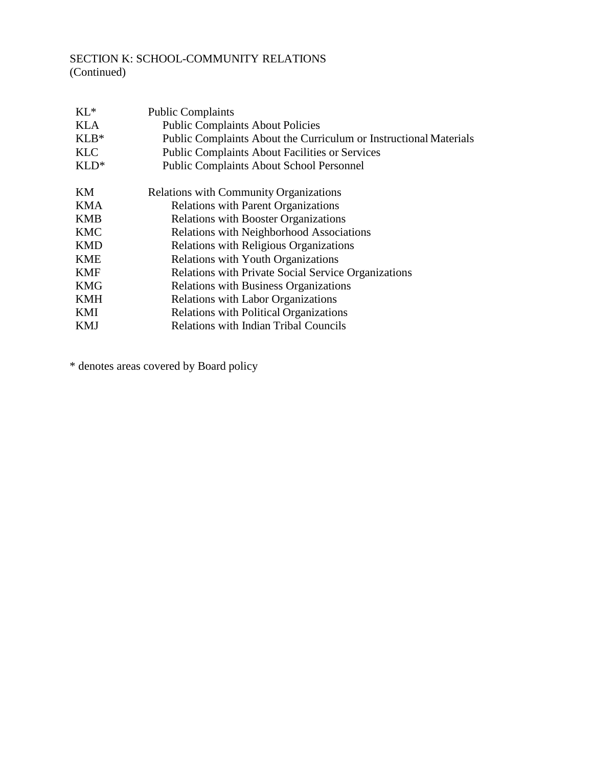# SECTION K: SCHOOL-COMMUNITY RELATIONS (Continued)

| $KL^*$     | <b>Public Complaints</b>                                          |
|------------|-------------------------------------------------------------------|
| <b>KLA</b> | <b>Public Complaints About Policies</b>                           |
| $KLB*$     | Public Complaints About the Curriculum or Instructional Materials |
| <b>KLC</b> | <b>Public Complaints About Facilities or Services</b>             |
| $KLD^*$    | <b>Public Complaints About School Personnel</b>                   |
| KM         | <b>Relations with Community Organizations</b>                     |
| <b>KMA</b> | <b>Relations with Parent Organizations</b>                        |
| <b>KMB</b> | <b>Relations with Booster Organizations</b>                       |
| <b>KMC</b> | <b>Relations with Neighborhood Associations</b>                   |
| <b>KMD</b> | Relations with Religious Organizations                            |
| <b>KME</b> | <b>Relations with Youth Organizations</b>                         |
| <b>KMF</b> | <b>Relations with Private Social Service Organizations</b>        |
| KMG        | <b>Relations with Business Organizations</b>                      |
| <b>KMH</b> | <b>Relations with Labor Organizations</b>                         |
| KMI        | <b>Relations with Political Organizations</b>                     |
| <b>KMJ</b> | <b>Relations with Indian Tribal Councils</b>                      |

\* denotes areas covered by Board policy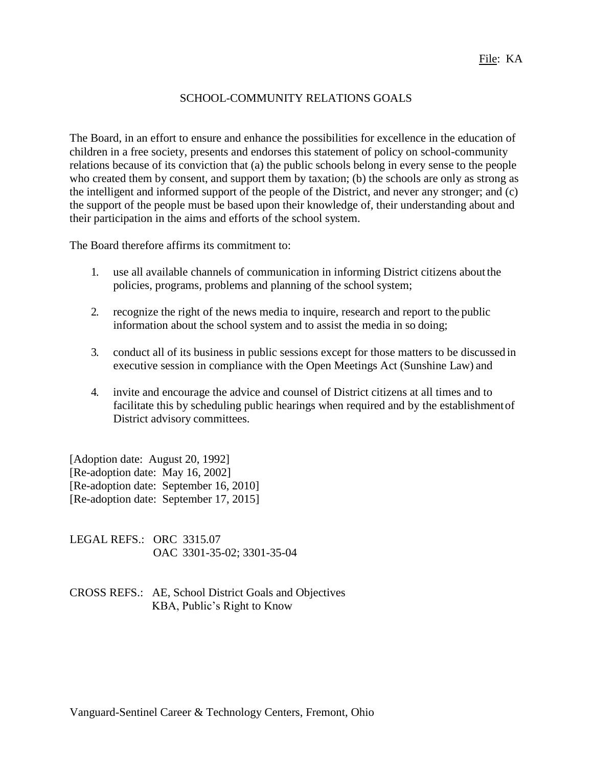## SCHOOL-COMMUNITY RELATIONS GOALS

The Board, in an effort to ensure and enhance the possibilities for excellence in the education of children in a free society, presents and endorses this statement of policy on school-community relations because of its conviction that (a) the public schools belong in every sense to the people who created them by consent, and support them by taxation; (b) the schools are only as strong as the intelligent and informed support of the people of the District, and never any stronger; and (c) the support of the people must be based upon their knowledge of, their understanding about and their participation in the aims and efforts of the school system.

The Board therefore affirms its commitment to:

- 1. use all available channels of communication in informing District citizens about the policies, programs, problems and planning of the school system;
- 2. recognize the right of the news media to inquire, research and report to the public information about the school system and to assist the media in so doing;
- 3. conduct all of its business in public sessions except for those matters to be discussed in executive session in compliance with the Open Meetings Act (Sunshine Law) and
- 4. invite and encourage the advice and counsel of District citizens at all times and to facilitate this by scheduling public hearings when required and by the establishmentof District advisory committees.

[Adoption date: August 20, 1992] [Re-adoption date: May 16, 2002] [Re-adoption date: September 16, 2010] [Re-adoption date: September 17, 2015]

LEGAL REFS.: ORC 3315.07 OAC 3301-35-02; 3301-35-04

CROSS REFS.: AE, School District Goals and Objectives KBA, Public's Right to Know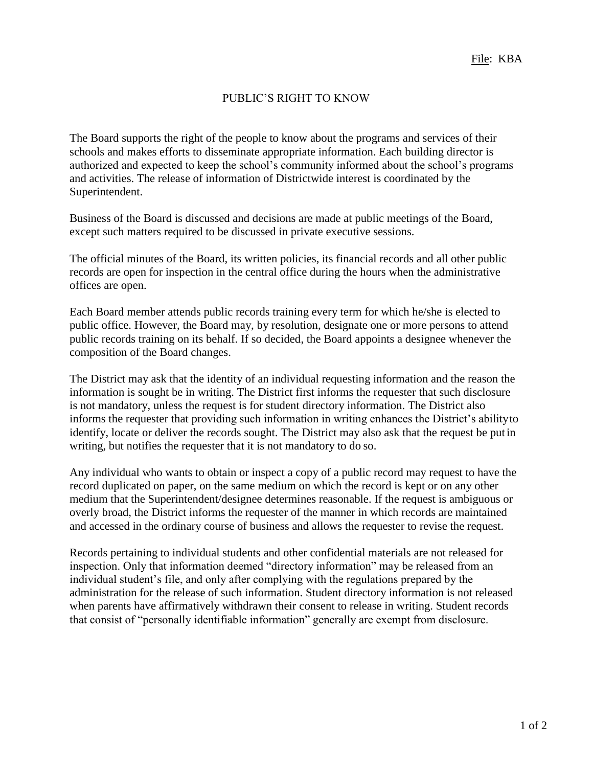# PUBLIC'S RIGHT TO KNOW

The Board supports the right of the people to know about the programs and services of their schools and makes efforts to disseminate appropriate information. Each building director is authorized and expected to keep the school's community informed about the school's programs and activities. The release of information of Districtwide interest is coordinated by the Superintendent.

Business of the Board is discussed and decisions are made at public meetings of the Board, except such matters required to be discussed in private executive sessions.

The official minutes of the Board, its written policies, its financial records and all other public records are open for inspection in the central office during the hours when the administrative offices are open.

Each Board member attends public records training every term for which he/she is elected to public office. However, the Board may, by resolution, designate one or more persons to attend public records training on its behalf. If so decided, the Board appoints a designee whenever the composition of the Board changes.

The District may ask that the identity of an individual requesting information and the reason the information is sought be in writing. The District first informs the requester that such disclosure is not mandatory, unless the request is for student directory information. The District also informs the requester that providing such information in writing enhances the District's abilityto identify, locate or deliver the records sought. The District may also ask that the request be put in writing, but notifies the requester that it is not mandatory to do so.

Any individual who wants to obtain or inspect a copy of a public record may request to have the record duplicated on paper, on the same medium on which the record is kept or on any other medium that the Superintendent/designee determines reasonable. If the request is ambiguous or overly broad, the District informs the requester of the manner in which records are maintained and accessed in the ordinary course of business and allows the requester to revise the request.

Records pertaining to individual students and other confidential materials are not released for inspection. Only that information deemed "directory information" may be released from an individual student's file, and only after complying with the regulations prepared by the administration for the release of such information. Student directory information is not released when parents have affirmatively withdrawn their consent to release in writing. Student records that consist of "personally identifiable information" generally are exempt from disclosure.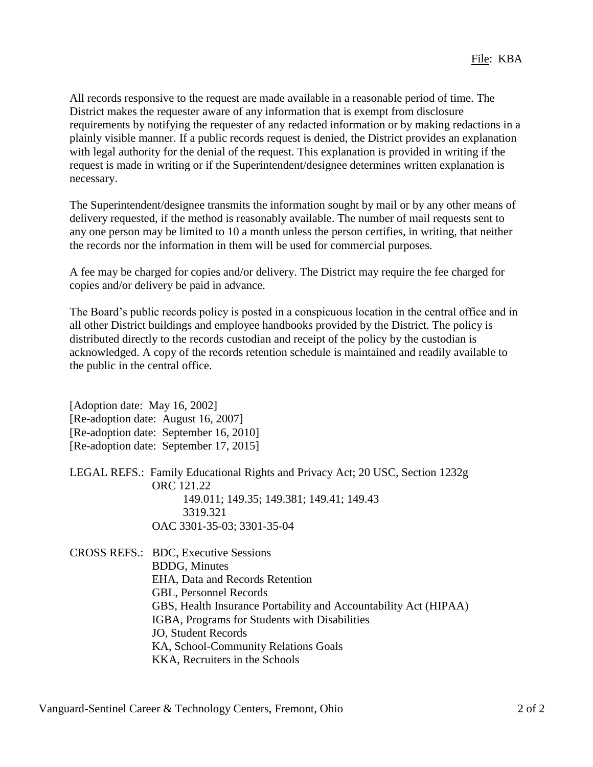All records responsive to the request are made available in a reasonable period of time. The District makes the requester aware of any information that is exempt from disclosure requirements by notifying the requester of any redacted information or by making redactions in a plainly visible manner. If a public records request is denied, the District provides an explanation with legal authority for the denial of the request. This explanation is provided in writing if the request is made in writing or if the Superintendent/designee determines written explanation is necessary.

The Superintendent/designee transmits the information sought by mail or by any other means of delivery requested, if the method is reasonably available. The number of mail requests sent to any one person may be limited to 10 a month unless the person certifies, in writing, that neither the records nor the information in them will be used for commercial purposes.

A fee may be charged for copies and/or delivery. The District may require the fee charged for copies and/or delivery be paid in advance.

The Board's public records policy is posted in a conspicuous location in the central office and in all other District buildings and employee handbooks provided by the District. The policy is distributed directly to the records custodian and receipt of the policy by the custodian is acknowledged. A copy of the records retention schedule is maintained and readily available to the public in the central office.

[Adoption date: May 16, 2002] [Re-adoption date: August 16, 2007] [Re-adoption date: September 16, 2010] [Re-adoption date: September 17, 2015]

LEGAL REFS.: Family Educational Rights and Privacy Act; 20 USC, Section 1232g ORC 121.22 149.011; 149.35; 149.381; 149.41; 149.43 3319.321 OAC 3301-35-03; 3301-35-04

CROSS REFS.: BDC, Executive Sessions BDDG, Minutes EHA, Data and Records Retention GBL, Personnel Records GBS, Health Insurance Portability and Accountability Act (HIPAA) IGBA, Programs for Students with Disabilities JO, Student Records KA, School-Community Relations Goals KKA, Recruiters in the Schools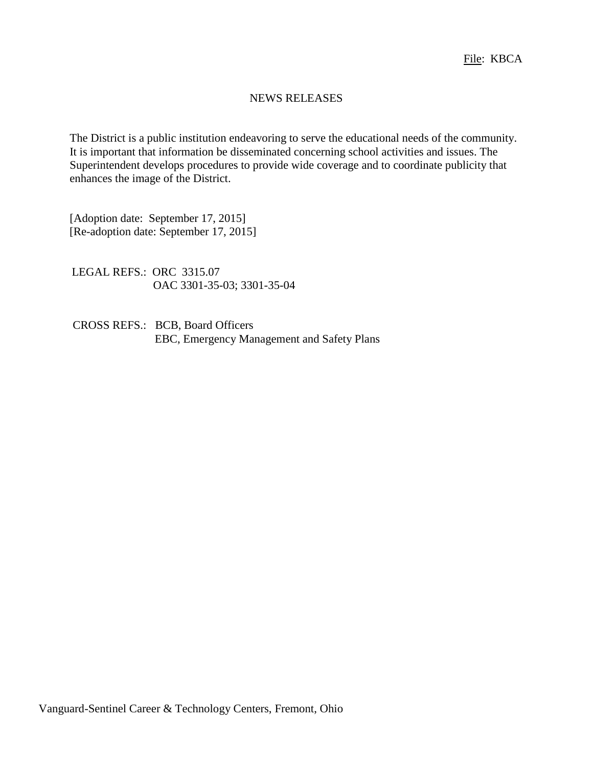### NEWS RELEASES

The District is a public institution endeavoring to serve the educational needs of the community. It is important that information be disseminated concerning school activities and issues. The Superintendent develops procedures to provide wide coverage and to coordinate publicity that enhances the image of the District.

[Adoption date: September 17, 2015] [Re-adoption date: September 17, 2015]

LEGAL REFS.: ORC 3315.07 OAC 3301-35-03; 3301-35-04

CROSS REFS.: BCB, Board Officers EBC, Emergency Management and Safety Plans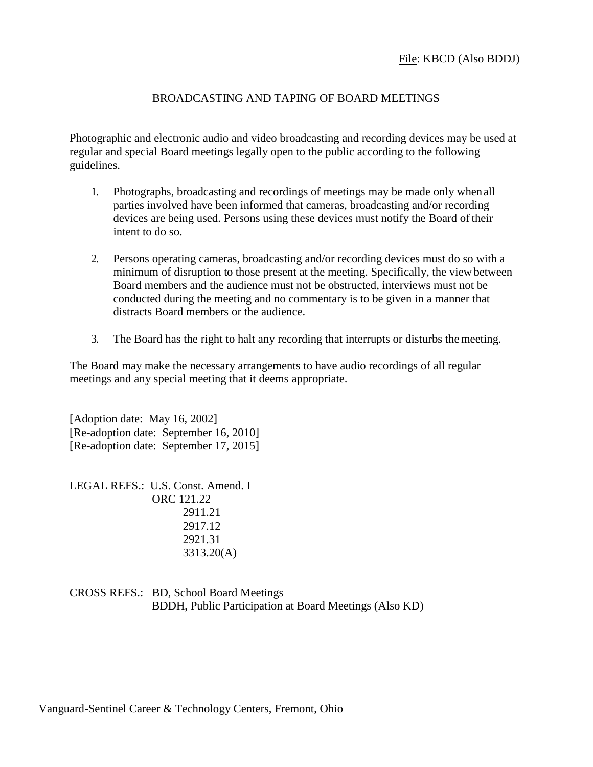# BROADCASTING AND TAPING OF BOARD MEETINGS

Photographic and electronic audio and video broadcasting and recording devices may be used at regular and special Board meetings legally open to the public according to the following guidelines.

- 1. Photographs, broadcasting and recordings of meetings may be made only whenall parties involved have been informed that cameras, broadcasting and/or recording devices are being used. Persons using these devices must notify the Board oftheir intent to do so.
- 2. Persons operating cameras, broadcasting and/or recording devices must do so with a minimum of disruption to those present at the meeting. Specifically, the view between Board members and the audience must not be obstructed, interviews must not be conducted during the meeting and no commentary is to be given in a manner that distracts Board members or the audience.
- 3. The Board has the right to halt any recording that interrupts or disturbs themeeting.

The Board may make the necessary arrangements to have audio recordings of all regular meetings and any special meeting that it deems appropriate.

[Adoption date: May 16, 2002] [Re-adoption date: September 16, 2010] [Re-adoption date: September 17, 2015]

LEGAL REFS.: U.S. Const. Amend. I ORC 121.22 2911.21 2917.12 2921.31 3313.20(A)

CROSS REFS.: BD, School Board Meetings BDDH, Public Participation at Board Meetings (Also KD)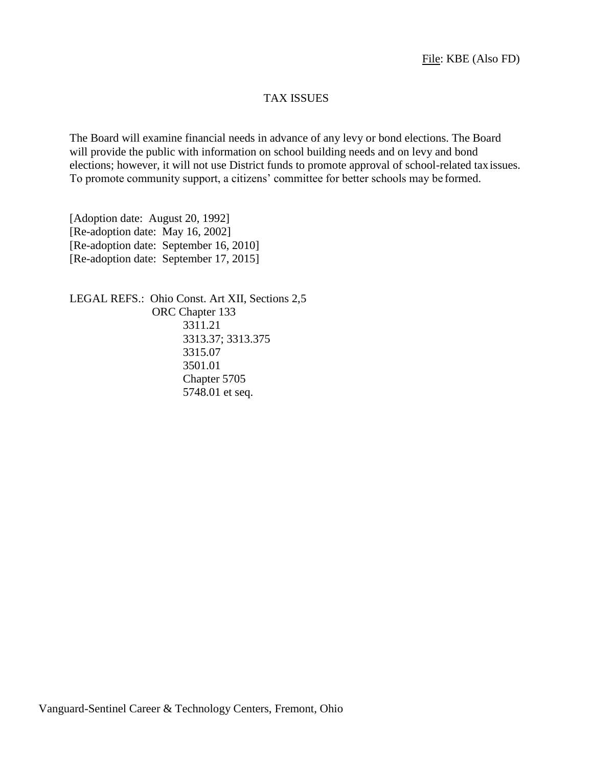### TAX ISSUES

The Board will examine financial needs in advance of any levy or bond elections. The Board will provide the public with information on school building needs and on levy and bond elections; however, it will not use District funds to promote approval of school-related taxissues. To promote community support, a citizens' committee for better schools may be formed.

[Adoption date: August 20, 1992] [Re-adoption date: May 16, 2002] [Re-adoption date: September 16, 2010] [Re-adoption date: September 17, 2015]

LEGAL REFS.: Ohio Const. Art XII, Sections 2,5 ORC Chapter 133 3311.21 3313.37; 3313.375 3315.07 3501.01 Chapter 5705 5748.01 et seq.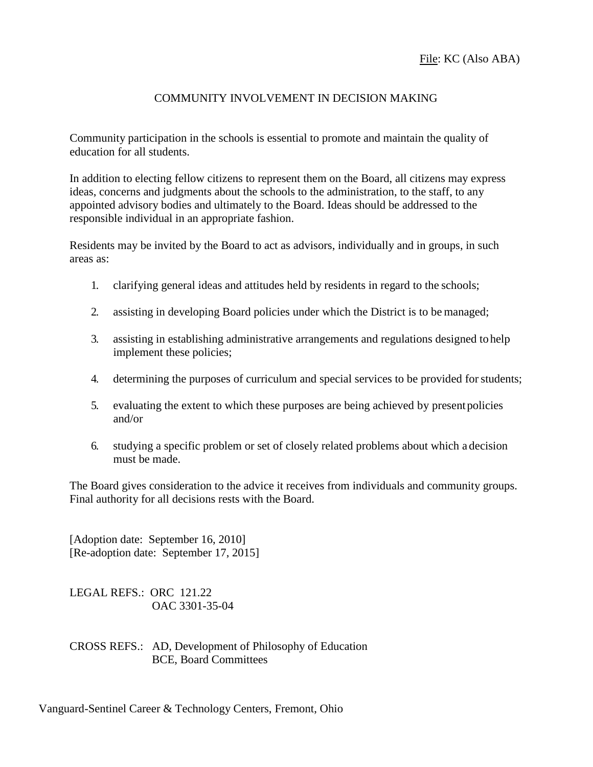# COMMUNITY INVOLVEMENT IN DECISION MAKING

Community participation in the schools is essential to promote and maintain the quality of education for all students.

In addition to electing fellow citizens to represent them on the Board, all citizens may express ideas, concerns and judgments about the schools to the administration, to the staff, to any appointed advisory bodies and ultimately to the Board. Ideas should be addressed to the responsible individual in an appropriate fashion.

Residents may be invited by the Board to act as advisors, individually and in groups, in such areas as:

- 1. clarifying general ideas and attitudes held by residents in regard to the schools;
- 2. assisting in developing Board policies under which the District is to be managed;
- 3. assisting in establishing administrative arrangements and regulations designed to help implement these policies;
- 4. determining the purposes of curriculum and special services to be provided forstudents;
- 5. evaluating the extent to which these purposes are being achieved by presentpolicies and/or
- 6. studying a specific problem or set of closely related problems about which a decision must be made.

The Board gives consideration to the advice it receives from individuals and community groups. Final authority for all decisions rests with the Board.

[Adoption date: September 16, 2010] [Re-adoption date: September 17, 2015]

LEGAL REFS.: ORC 121.22 OAC 3301-35-04

CROSS REFS.: AD, Development of Philosophy of Education BCE, Board Committees

Vanguard-Sentinel Career & Technology Centers, Fremont, Ohio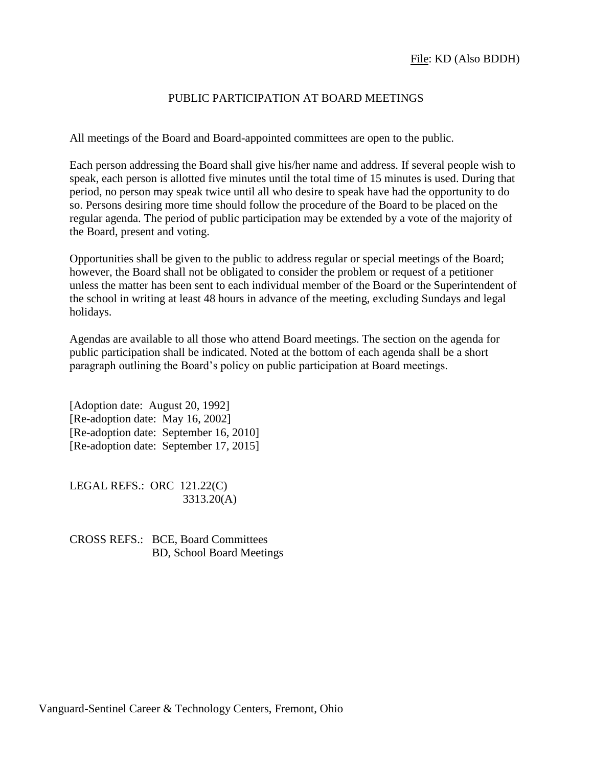## PUBLIC PARTICIPATION AT BOARD MEETINGS

All meetings of the Board and Board-appointed committees are open to the public.

Each person addressing the Board shall give his/her name and address. If several people wish to speak, each person is allotted five minutes until the total time of 15 minutes is used. During that period, no person may speak twice until all who desire to speak have had the opportunity to do so. Persons desiring more time should follow the procedure of the Board to be placed on the regular agenda. The period of public participation may be extended by a vote of the majority of the Board, present and voting.

Opportunities shall be given to the public to address regular or special meetings of the Board; however, the Board shall not be obligated to consider the problem or request of a petitioner unless the matter has been sent to each individual member of the Board or the Superintendent of the school in writing at least 48 hours in advance of the meeting, excluding Sundays and legal holidays.

Agendas are available to all those who attend Board meetings. The section on the agenda for public participation shall be indicated. Noted at the bottom of each agenda shall be a short paragraph outlining the Board's policy on public participation at Board meetings.

[Adoption date: August 20, 1992] [Re-adoption date: May 16, 2002] [Re-adoption date: September 16, 2010] [Re-adoption date: September 17, 2015]

LEGAL REFS.: ORC 121.22(C) 3313.20(A)

CROSS REFS.: BCE, Board Committees BD, School Board Meetings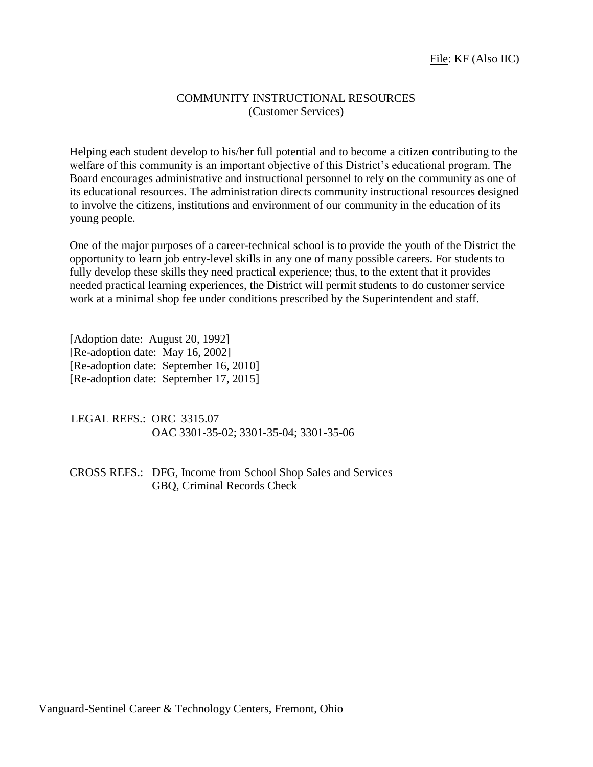### COMMUNITY INSTRUCTIONAL RESOURCES (Customer Services)

Helping each student develop to his/her full potential and to become a citizen contributing to the welfare of this community is an important objective of this District's educational program. The Board encourages administrative and instructional personnel to rely on the community as one of its educational resources. The administration directs community instructional resources designed to involve the citizens, institutions and environment of our community in the education of its young people.

One of the major purposes of a career-technical school is to provide the youth of the District the opportunity to learn job entry-level skills in any one of many possible careers. For students to fully develop these skills they need practical experience; thus, to the extent that it provides needed practical learning experiences, the District will permit students to do customer service work at a minimal shop fee under conditions prescribed by the Superintendent and staff.

[Adoption date: August 20, 1992] [Re-adoption date: May 16, 2002] [Re-adoption date: September 16, 2010] [Re-adoption date: September 17, 2015]

LEGAL REFS.: ORC 3315.07 OAC 3301-35-02; 3301-35-04; 3301-35-06

CROSS REFS.: DFG, Income from School Shop Sales and Services GBQ, Criminal Records Check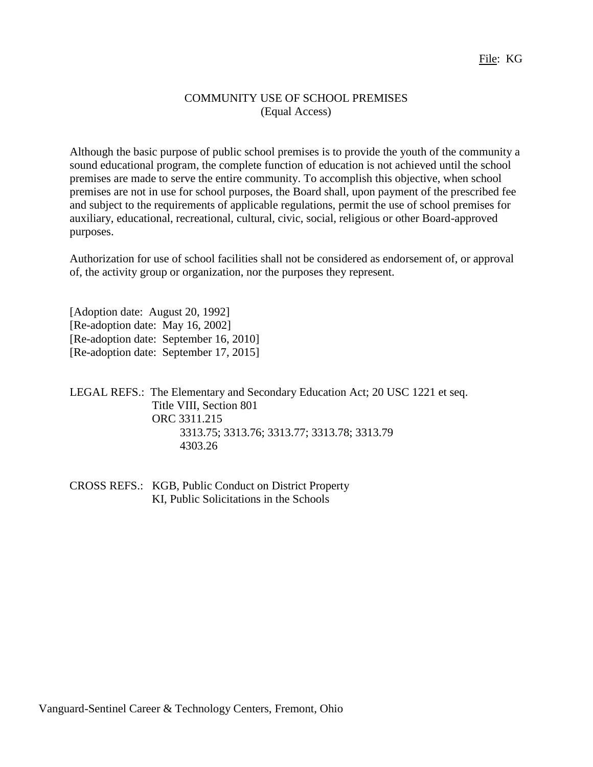### COMMUNITY USE OF SCHOOL PREMISES (Equal Access)

Although the basic purpose of public school premises is to provide the youth of the community a sound educational program, the complete function of education is not achieved until the school premises are made to serve the entire community. To accomplish this objective, when school premises are not in use for school purposes, the Board shall, upon payment of the prescribed fee and subject to the requirements of applicable regulations, permit the use of school premises for auxiliary, educational, recreational, cultural, civic, social, religious or other Board-approved purposes.

Authorization for use of school facilities shall not be considered as endorsement of, or approval of, the activity group or organization, nor the purposes they represent.

[Adoption date: August 20, 1992] [Re-adoption date: May 16, 2002] [Re-adoption date: September 16, 2010] [Re-adoption date: September 17, 2015]

LEGAL REFS.: The Elementary and Secondary Education Act; 20 USC 1221 et seq. Title VIII, Section 801 ORC 3311.215 3313.75; 3313.76; 3313.77; 3313.78; 3313.79 4303.26

CROSS REFS.: KGB, Public Conduct on District Property KI, Public Solicitations in the Schools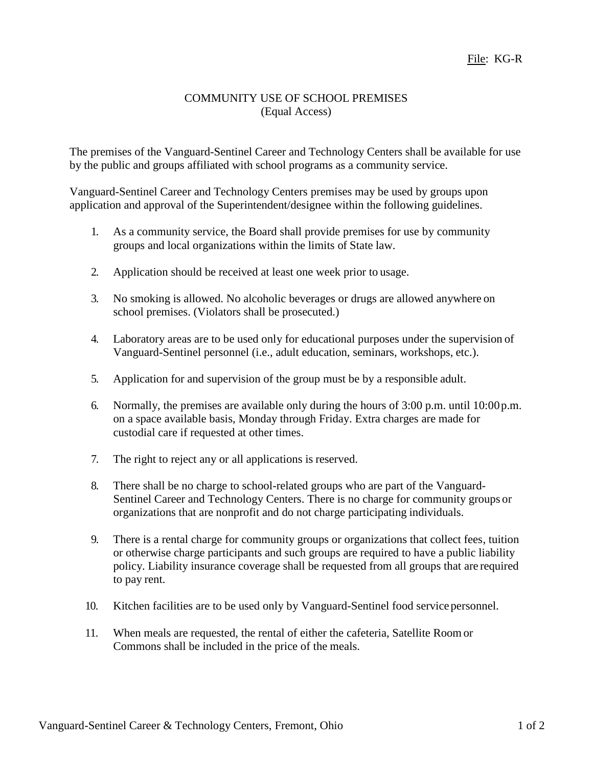## COMMUNITY USE OF SCHOOL PREMISES (Equal Access)

The premises of the Vanguard-Sentinel Career and Technology Centers shall be available for use by the public and groups affiliated with school programs as a community service.

Vanguard-Sentinel Career and Technology Centers premises may be used by groups upon application and approval of the Superintendent/designee within the following guidelines.

- 1. As a community service, the Board shall provide premises for use by community groups and local organizations within the limits of State law.
- 2. Application should be received at least one week prior to usage.
- 3. No smoking is allowed. No alcoholic beverages or drugs are allowed anywhere on school premises. (Violators shall be prosecuted.)
- 4. Laboratory areas are to be used only for educational purposes under the supervision of Vanguard-Sentinel personnel (i.e., adult education, seminars, workshops, etc.).
- 5. Application for and supervision of the group must be by a responsible adult.
- 6. Normally, the premises are available only during the hours of 3:00 p.m. until 10:00p.m. on a space available basis, Monday through Friday. Extra charges are made for custodial care if requested at other times.
- 7. The right to reject any or all applications is reserved.
- 8. There shall be no charge to school-related groups who are part of the Vanguard-Sentinel Career and Technology Centers. There is no charge for community groups or organizations that are nonprofit and do not charge participating individuals.
- 9. There is a rental charge for community groups or organizations that collect fees, tuition or otherwise charge participants and such groups are required to have a public liability policy. Liability insurance coverage shall be requested from all groups that are required to pay rent.
- 10. Kitchen facilities are to be used only by Vanguard-Sentinel food service personnel.
- 11. When meals are requested, the rental of either the cafeteria, Satellite Roomor Commons shall be included in the price of the meals.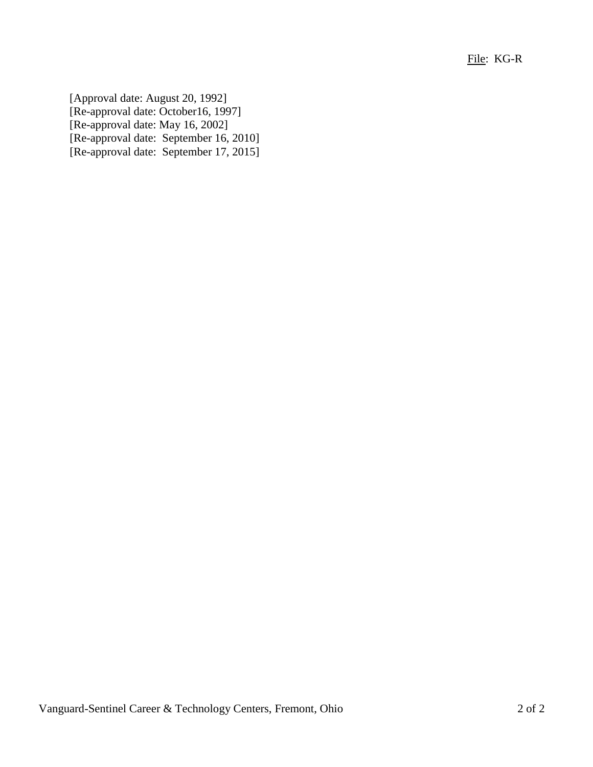File: KG-R

[Approval date: August 20, 1992] [Re-approval date: October16, 1997] [Re-approval date: May 16, 2002] [Re-approval date: September 16, 2010] [Re-approval date: September 17, 2015]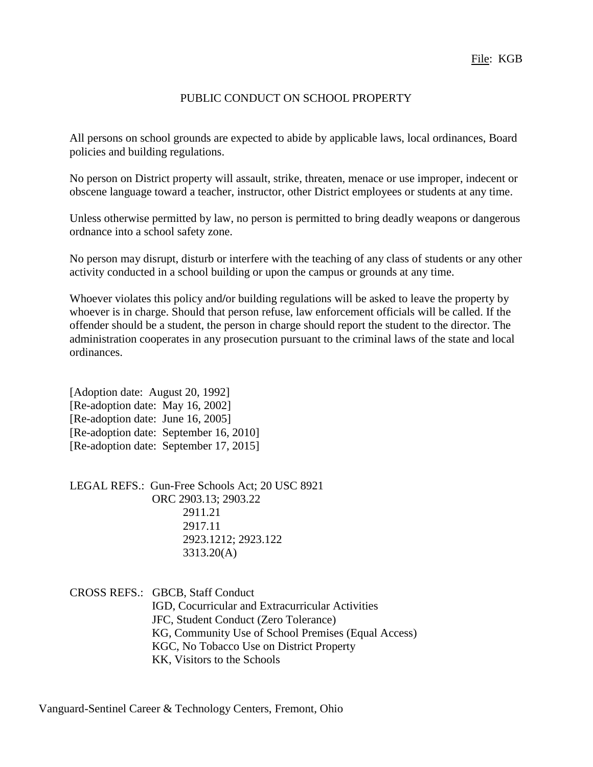### PUBLIC CONDUCT ON SCHOOL PROPERTY

All persons on school grounds are expected to abide by applicable laws, local ordinances, Board policies and building regulations.

No person on District property will assault, strike, threaten, menace or use improper, indecent or obscene language toward a teacher, instructor, other District employees or students at any time.

Unless otherwise permitted by law, no person is permitted to bring deadly weapons or dangerous ordnance into a school safety zone.

No person may disrupt, disturb or interfere with the teaching of any class of students or any other activity conducted in a school building or upon the campus or grounds at any time.

Whoever violates this policy and**/**or building regulations will be asked to leave the property by whoever is in charge. Should that person refuse, law enforcement officials will be called. If the offender should be a student, the person in charge should report the student to the director. The administration cooperates in any prosecution pursuant to the criminal laws of the state and local ordinances.

[Adoption date: August 20, 1992] [Re-adoption date: May 16, 2002] [Re-adoption date: June 16, 2005] [Re-adoption date: September 16, 2010] [Re-adoption date: September 17, 2015]

LEGAL REFS.: Gun-Free Schools Act; 20 USC 8921 ORC 2903.13; 2903.22 2911.21 2917.11 2923.1212; 2923.122 3313.20(A)

CROSS REFS.: GBCB, Staff Conduct IGD, Cocurricular and Extracurricular Activities JFC, Student Conduct (Zero Tolerance) KG, Community Use of School Premises (Equal Access) KGC, No Tobacco Use on District Property KK, Visitors to the Schools

Vanguard-Sentinel Career & Technology Centers, Fremont, Ohio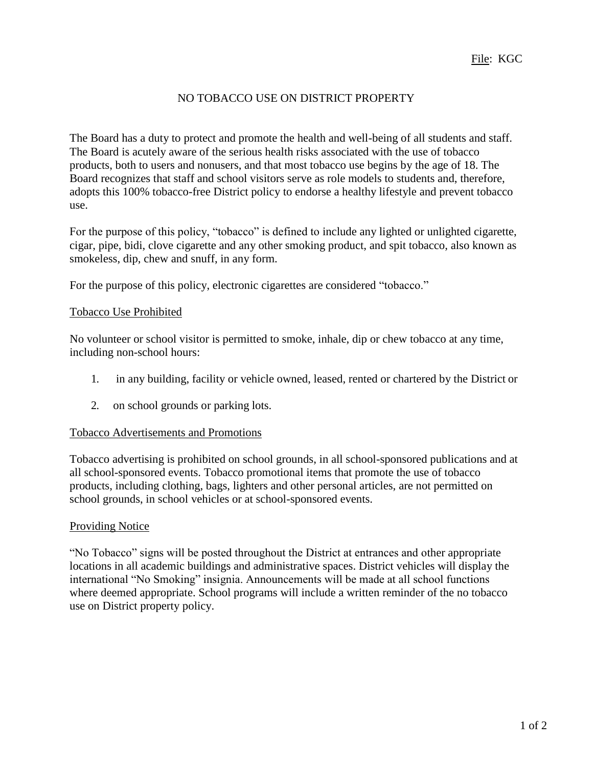# NO TOBACCO USE ON DISTRICT PROPERTY

The Board has a duty to protect and promote the health and well-being of all students and staff. The Board is acutely aware of the serious health risks associated with the use of tobacco products, both to users and nonusers, and that most tobacco use begins by the age of 18. The Board recognizes that staff and school visitors serve as role models to students and, therefore, adopts this 100% tobacco-free District policy to endorse a healthy lifestyle and prevent tobacco use.

For the purpose of this policy, "tobacco" is defined to include any lighted or unlighted cigarette, cigar, pipe, bidi, clove cigarette and any other smoking product, and spit tobacco, also known as smokeless, dip, chew and snuff, in any form.

For the purpose of this policy, electronic cigarettes are considered "tobacco."

#### Tobacco Use Prohibited

No volunteer or school visitor is permitted to smoke, inhale, dip or chew tobacco at any time, including non-school hours:

- 1. in any building, facility or vehicle owned, leased, rented or chartered by the District or
- 2. on school grounds or parking lots.

#### Tobacco Advertisements and Promotions

Tobacco advertising is prohibited on school grounds, in all school-sponsored publications and at all school-sponsored events. Tobacco promotional items that promote the use of tobacco products, including clothing, bags, lighters and other personal articles, are not permitted on school grounds, in school vehicles or at school-sponsored events.

### Providing Notice

"No Tobacco" signs will be posted throughout the District at entrances and other appropriate locations in all academic buildings and administrative spaces. District vehicles will display the international "No Smoking" insignia. Announcements will be made at all school functions where deemed appropriate. School programs will include a written reminder of the no tobacco use on District property policy.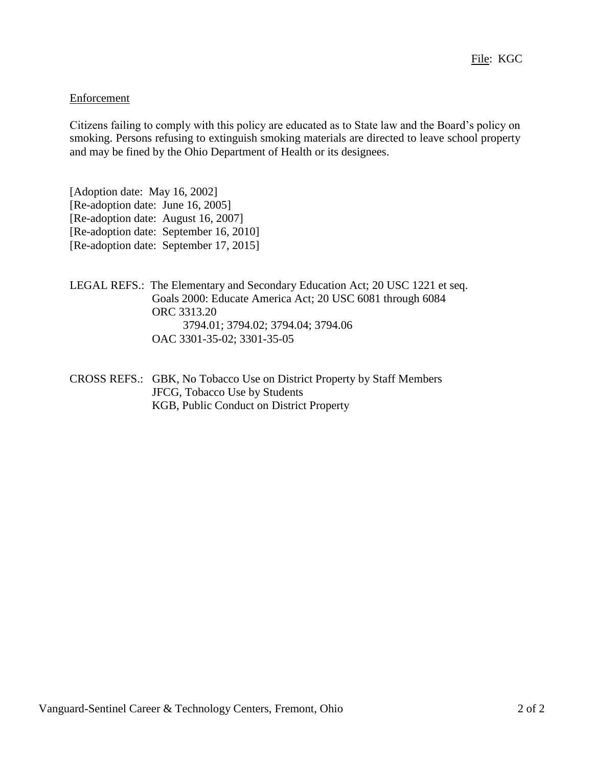## Enforcement

Citizens failing to comply with this policy are educated as to State law and the Board's policy on smoking. Persons refusing to extinguish smoking materials are directed to leave school property and may be fined by the Ohio Department of Health or its designees.

[Adoption date: May 16, 2002] [Re-adoption date: June 16, 2005] [Re-adoption date: August 16, 2007] [Re-adoption date: September 16, 2010] [Re-adoption date: September 17, 2015]

- LEGAL REFS.: The Elementary and Secondary Education Act; 20 USC 1221 et seq. Goals 2000: Educate America Act; 20 USC 6081 through 6084 ORC 3313.20 3794.01; 3794.02; 3794.04; 3794.06 OAC 3301-35-02; 3301-35-05
- CROSS REFS.: GBK, No Tobacco Use on District Property by Staff Members JFCG, Tobacco Use by Students KGB, Public Conduct on District Property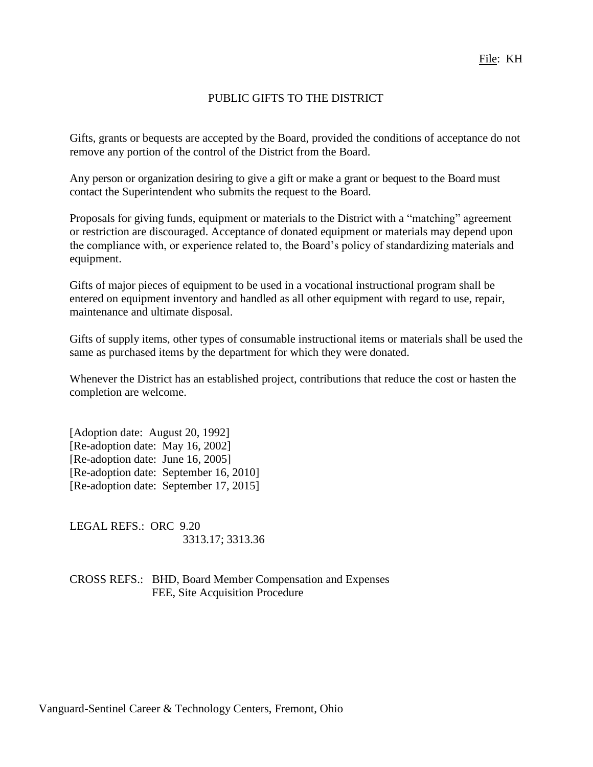# PUBLIC GIFTS TO THE DISTRICT

Gifts, grants or bequests are accepted by the Board, provided the conditions of acceptance do not remove any portion of the control of the District from the Board.

Any person or organization desiring to give a gift or make a grant or bequest to the Board must contact the Superintendent who submits the request to the Board.

Proposals for giving funds, equipment or materials to the District with a "matching" agreement or restriction are discouraged. Acceptance of donated equipment or materials may depend upon the compliance with, or experience related to, the Board's policy of standardizing materials and equipment.

Gifts of major pieces of equipment to be used in a vocational instructional program shall be entered on equipment inventory and handled as all other equipment with regard to use, repair, maintenance and ultimate disposal.

Gifts of supply items, other types of consumable instructional items or materials shall be used the same as purchased items by the department for which they were donated.

Whenever the District has an established project, contributions that reduce the cost or hasten the completion are welcome.

[Adoption date: August 20, 1992] [Re-adoption date: May 16, 2002] [Re-adoption date: June 16, 2005] [Re-adoption date: September 16, 2010] [Re-adoption date: September 17, 2015]

LEGAL REFS.: ORC 9.20 3313.17; 3313.36

CROSS REFS.: BHD, Board Member Compensation and Expenses FEE, Site Acquisition Procedure

Vanguard-Sentinel Career & Technology Centers, Fremont, Ohio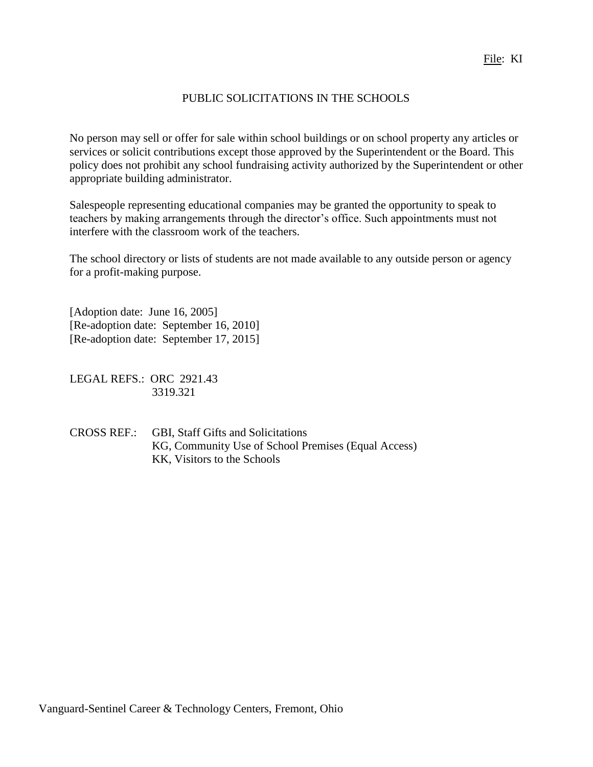# PUBLIC SOLICITATIONS IN THE SCHOOLS

No person may sell or offer for sale within school buildings or on school property any articles or services or solicit contributions except those approved by the Superintendent or the Board. This policy does not prohibit any school fundraising activity authorized by the Superintendent or other appropriate building administrator.

Salespeople representing educational companies may be granted the opportunity to speak to teachers by making arrangements through the director's office. Such appointments must not interfere with the classroom work of the teachers.

The school directory or lists of students are not made available to any outside person or agency for a profit-making purpose.

[Adoption date: June 16, 2005] [Re-adoption date: September 16, 2010] [Re-adoption date: September 17, 2015]

LEGAL REFS.: ORC 2921.43 3319.321

CROSS REF.: GBI, Staff Gifts and Solicitations KG, Community Use of School Premises (Equal Access) KK, Visitors to the Schools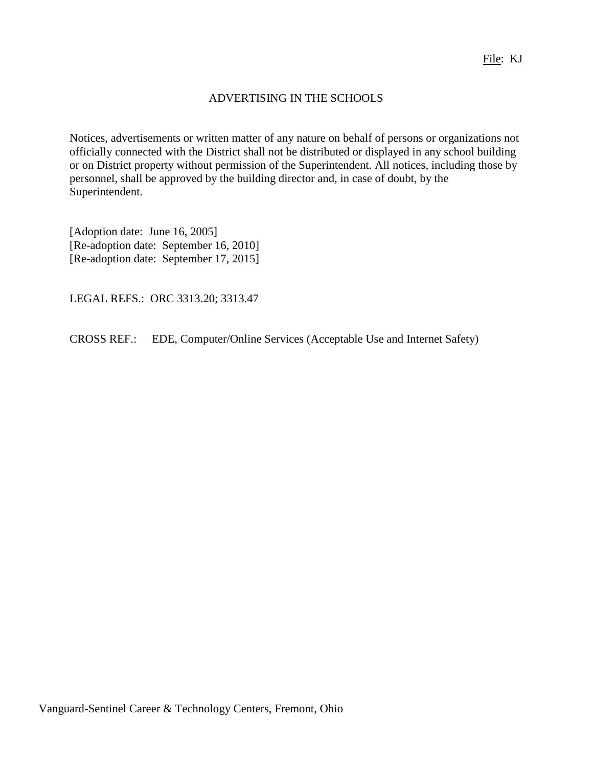## ADVERTISING IN THE SCHOOLS

Notices, advertisements or written matter of any nature on behalf of persons or organizations not officially connected with the District shall not be distributed or displayed in any school building or on District property without permission of the Superintendent. All notices, including those by personnel, shall be approved by the building director and, in case of doubt, by the Superintendent.

[Adoption date: June 16, 2005] [Re-adoption date: September 16, 2010] [Re-adoption date: September 17, 2015]

LEGAL REFS.: ORC 3313.20; 3313.47

CROSS REF.: EDE, Computer/Online Services (Acceptable Use and Internet Safety)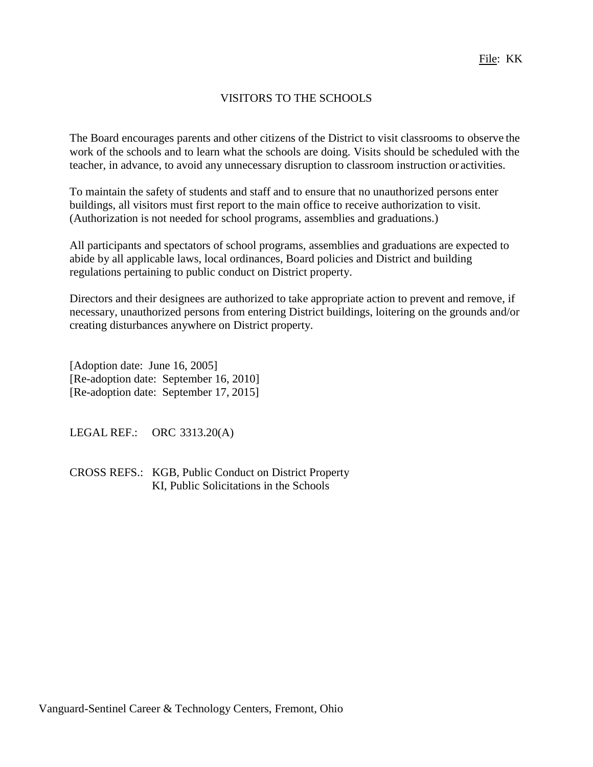# VISITORS TO THE SCHOOLS

The Board encourages parents and other citizens of the District to visit classrooms to observe the work of the schools and to learn what the schools are doing. Visits should be scheduled with the teacher, in advance, to avoid any unnecessary disruption to classroom instruction or activities.

To maintain the safety of students and staff and to ensure that no unauthorized persons enter buildings, all visitors must first report to the main office to receive authorization to visit. (Authorization is not needed for school programs, assemblies and graduations.)

All participants and spectators of school programs, assemblies and graduations are expected to abide by all applicable laws, local ordinances, Board policies and District and building regulations pertaining to public conduct on District property.

Directors and their designees are authorized to take appropriate action to prevent and remove, if necessary, unauthorized persons from entering District buildings, loitering on the grounds and/or creating disturbances anywhere on District property.

[Adoption date: June 16, 2005] [Re-adoption date: September 16, 2010] [Re-adoption date: September 17, 2015]

LEGAL REF.: ORC 3313.20(A)

CROSS REFS.: KGB, Public Conduct on District Property KI, Public Solicitations in the Schools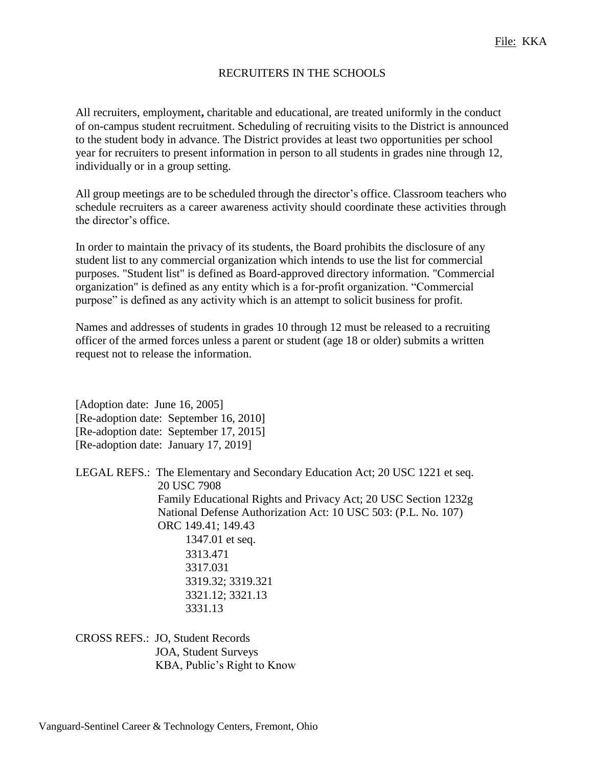### RECRUITERS IN THE SCHOOLS

All recruiters, employment**,** charitable and educational, are treated uniformly in the conduct of on-campus student recruitment. Scheduling of recruiting visits to the District is announced to the student body in advance. The District provides at least two opportunities per school year for recruiters to present information in person to all students in grades nine through 12, individually or in a group setting.

All group meetings are to be scheduled through the director's office. Classroom teachers who schedule recruiters as a career awareness activity should coordinate these activities through the director's office.

In order to maintain the privacy of its students, the Board prohibits the disclosure of any student list to any commercial organization which intends to use the list for commercial purposes. "Student list" is defined as Board-approved directory information. "Commercial organization" is defined as any entity which is a for-profit organization. "Commercial purpose" is defined as any activity which is an attempt to solicit business for profit.

Names and addresses of students in grades 10 through 12 must be released to a recruiting officer of the armed forces unless a parent or student (age 18 or older) submits a written request not to release the information.

[Adoption date: June 16, 2005] [Re-adoption date: September 16, 2010] [Re-adoption date: September 17, 2015] [Re-adoption date: January 17, 2019]

LEGAL REFS.: The Elementary and Secondary Education Act; 20 USC 1221 et seq. 20 USC 7908 Family Educational Rights and Privacy Act; 20 USC Section 1232g National Defense Authorization Act: 10 USC 503: (P.L. No. 107) ORC 149.41; 149.43 1347.01 et seq. 3313.471 3317.031 3319.32; 3319.321

3321.12; 3321.13 3331.13

CROSS REFS.: JO, Student Records JOA, Student Surveys KBA, Public's Right to Know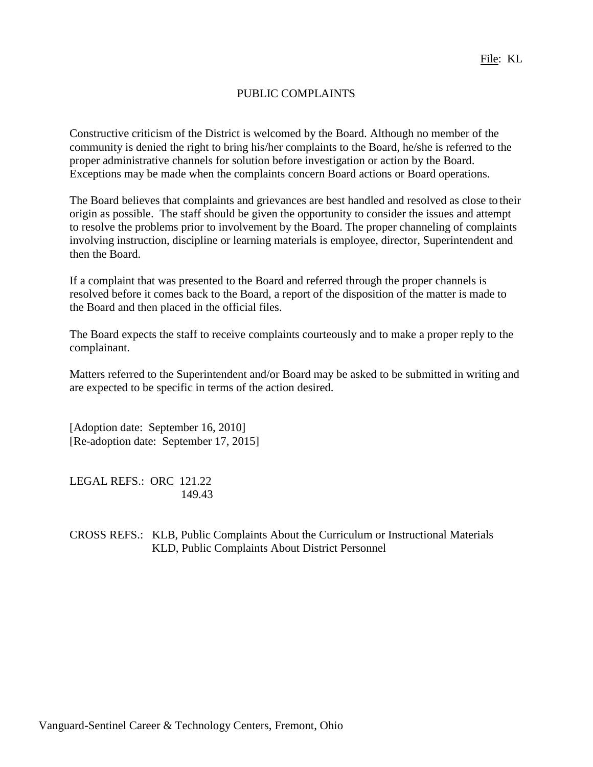## PUBLIC COMPLAINTS

Constructive criticism of the District is welcomed by the Board. Although no member of the community is denied the right to bring his/her complaints to the Board, he/she is referred to the proper administrative channels for solution before investigation or action by the Board. Exceptions may be made when the complaints concern Board actions or Board operations.

The Board believes that complaints and grievances are best handled and resolved as close to their origin as possible. The staff should be given the opportunity to consider the issues and attempt to resolve the problems prior to involvement by the Board. The proper channeling of complaints involving instruction, discipline or learning materials is employee, director, Superintendent and then the Board.

If a complaint that was presented to the Board and referred through the proper channels is resolved before it comes back to the Board, a report of the disposition of the matter is made to the Board and then placed in the official files.

The Board expects the staff to receive complaints courteously and to make a proper reply to the complainant.

Matters referred to the Superintendent and/or Board may be asked to be submitted in writing and are expected to be specific in terms of the action desired.

[Adoption date: September 16, 2010] [Re-adoption date: September 17, 2015]

LEGAL REFS.: ORC 121.22 149.43

CROSS REFS.: KLB, Public Complaints About the Curriculum or Instructional Materials KLD, Public Complaints About District Personnel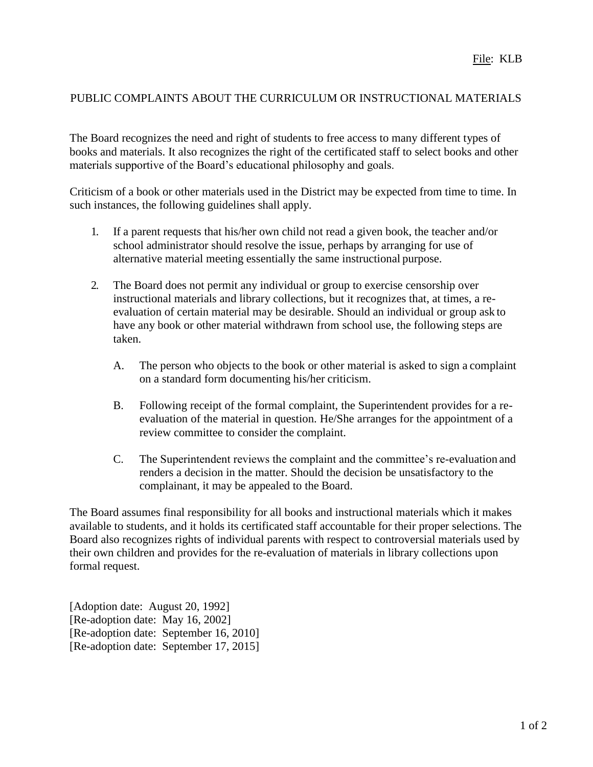# PUBLIC COMPLAINTS ABOUT THE CURRICULUM OR INSTRUCTIONAL MATERIALS

The Board recognizes the need and right of students to free access to many different types of books and materials. It also recognizes the right of the certificated staff to select books and other materials supportive of the Board's educational philosophy and goals.

Criticism of a book or other materials used in the District may be expected from time to time. In such instances, the following guidelines shall apply.

- 1. If a parent requests that his/her own child not read a given book, the teacher and/or school administrator should resolve the issue, perhaps by arranging for use of alternative material meeting essentially the same instructional purpose.
- 2. The Board does not permit any individual or group to exercise censorship over instructional materials and library collections, but it recognizes that, at times, a reevaluation of certain material may be desirable. Should an individual or group ask to have any book or other material withdrawn from school use, the following steps are taken.
	- A. The person who objects to the book or other material is asked to sign a complaint on a standard form documenting his/her criticism.
	- B. Following receipt of the formal complaint, the Superintendent provides for a reevaluation of the material in question. He/She arranges for the appointment of a review committee to consider the complaint.
	- C. The Superintendent reviews the complaint and the committee's re-evaluation and renders a decision in the matter. Should the decision be unsatisfactory to the complainant, it may be appealed to the Board.

The Board assumes final responsibility for all books and instructional materials which it makes available to students, and it holds its certificated staff accountable for their proper selections. The Board also recognizes rights of individual parents with respect to controversial materials used by their own children and provides for the re-evaluation of materials in library collections upon formal request.

[Adoption date: August 20, 1992] [Re-adoption date: May 16, 2002] [Re-adoption date: September 16, 2010] [Re-adoption date: September 17, 2015]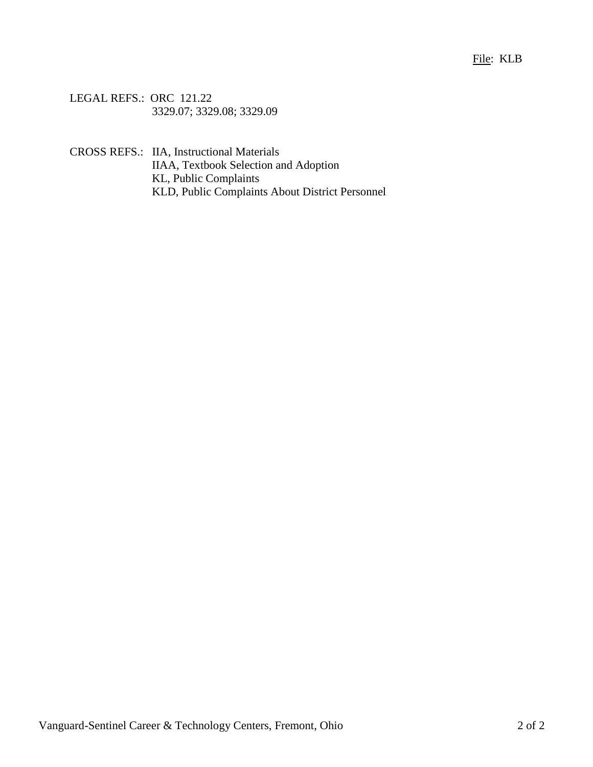### File: KLB

LEGAL REFS.: ORC 121.22 3329.07; 3329.08; 3329.09

CROSS REFS.: IIA, Instructional Materials IIAA, Textbook Selection and Adoption KL, Public Complaints KLD, Public Complaints About District Personnel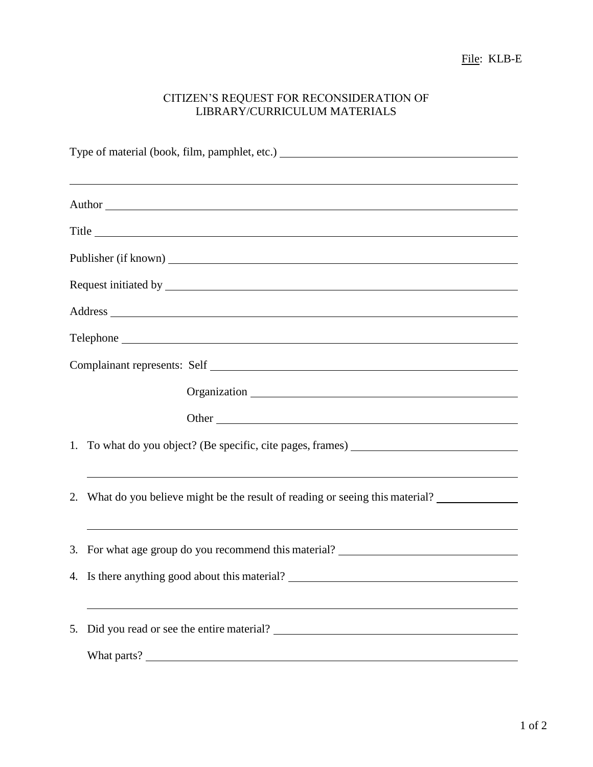### CITIZEN'S REQUEST FOR RECONSIDERATION OF LIBRARY/CURRICULUM MATERIALS

| <u> 1989 - Johann Stoff, amerikansk politiker (d. 1989)</u>                                                                                                                                                                    |  |  |
|--------------------------------------------------------------------------------------------------------------------------------------------------------------------------------------------------------------------------------|--|--|
| Author Leadership and the contract of the contract of the contract of the contract of the contract of the contract of the contract of the contract of the contract of the contract of the contract of the contract of the cont |  |  |
| Title                                                                                                                                                                                                                          |  |  |
|                                                                                                                                                                                                                                |  |  |
|                                                                                                                                                                                                                                |  |  |
|                                                                                                                                                                                                                                |  |  |
|                                                                                                                                                                                                                                |  |  |
|                                                                                                                                                                                                                                |  |  |
|                                                                                                                                                                                                                                |  |  |
|                                                                                                                                                                                                                                |  |  |
|                                                                                                                                                                                                                                |  |  |
| 1. To what do you object? (Be specific, cite pages, frames) _____________________                                                                                                                                              |  |  |
| <u> 1989 - Johann Stoff, deutscher Stoff, der Stoff, der Stoff, der Stoff, der Stoff, der Stoff, der Stoff, der S</u>                                                                                                          |  |  |
| 2. What do you believe might be the result of reading or seeing this material?                                                                                                                                                 |  |  |
| ,我们也不能在这里的时候,我们也不能会在这里,我们也不能会在这里,我们也不能会在这里的时候,我们也不能会在这里的时候,我们也不能会在这里的时候,我们也不能会在这里<br>3. For what age group do you recommend this material? __________________________                                                          |  |  |
| 4. Is there anything good about this material?                                                                                                                                                                                 |  |  |
|                                                                                                                                                                                                                                |  |  |
|                                                                                                                                                                                                                                |  |  |
|                                                                                                                                                                                                                                |  |  |
|                                                                                                                                                                                                                                |  |  |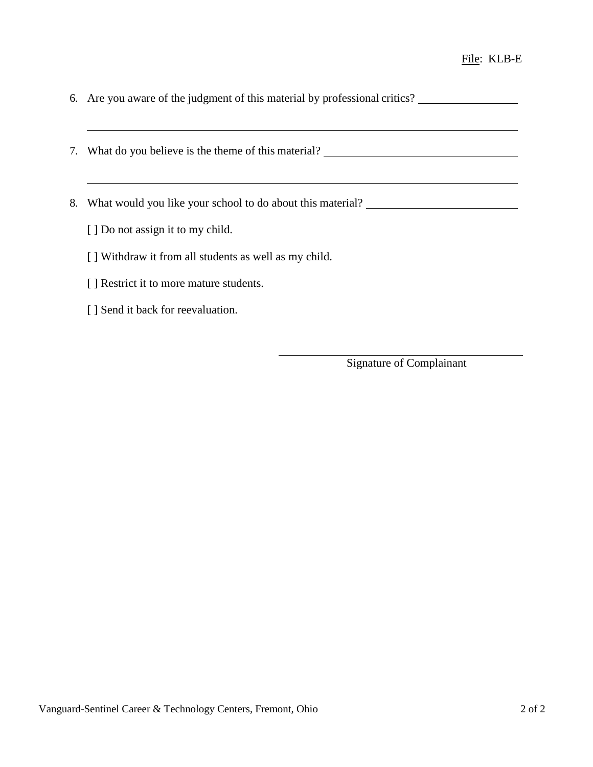- 6. Are you aware of the judgment of this material by professional critics?
- 7. What do you believe is the theme of this material?
- 8. What would you like your school to do about this material?
	- [ ] Do not assign it to my child.
	- [ ] Withdraw it from all students as well as my child.
	- [ ] Restrict it to more mature students.
	- [ ] Send it back for reevaluation.

Signature of Complainant

<u> 1980 - Johann Barbara, martxa alemaniar amerikan a</u>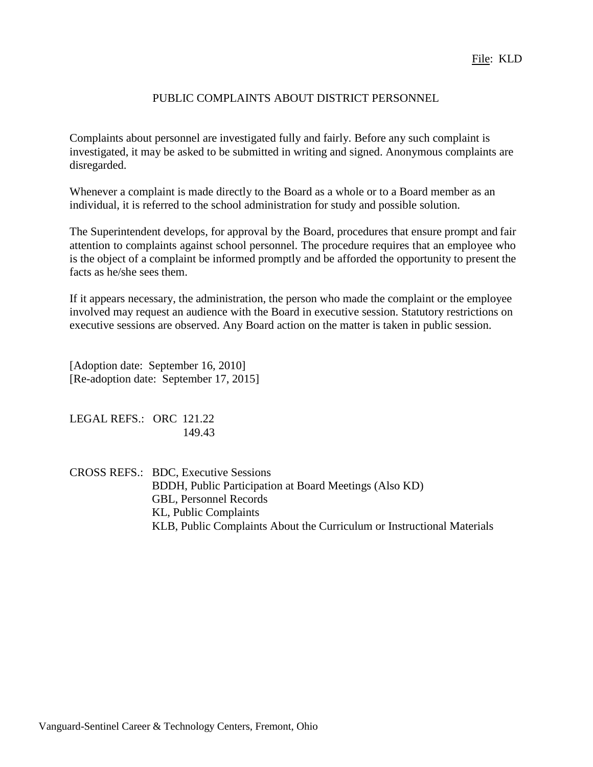### PUBLIC COMPLAINTS ABOUT DISTRICT PERSONNEL

Complaints about personnel are investigated fully and fairly. Before any such complaint is investigated, it may be asked to be submitted in writing and signed. Anonymous complaints are disregarded.

Whenever a complaint is made directly to the Board as a whole or to a Board member as an individual, it is referred to the school administration for study and possible solution.

The Superintendent develops, for approval by the Board, procedures that ensure prompt and fair attention to complaints against school personnel. The procedure requires that an employee who is the object of a complaint be informed promptly and be afforded the opportunity to present the facts as he/she sees them.

If it appears necessary, the administration, the person who made the complaint or the employee involved may request an audience with the Board in executive session. Statutory restrictions on executive sessions are observed. Any Board action on the matter is taken in public session.

[Adoption date: September 16, 2010] [Re-adoption date: September 17, 2015]

LEGAL REFS.: ORC 121.22 149.43

CROSS REFS.: BDC, Executive Sessions BDDH, Public Participation at Board Meetings (Also KD) GBL, Personnel Records KL, Public Complaints KLB, Public Complaints About the Curriculum or Instructional Materials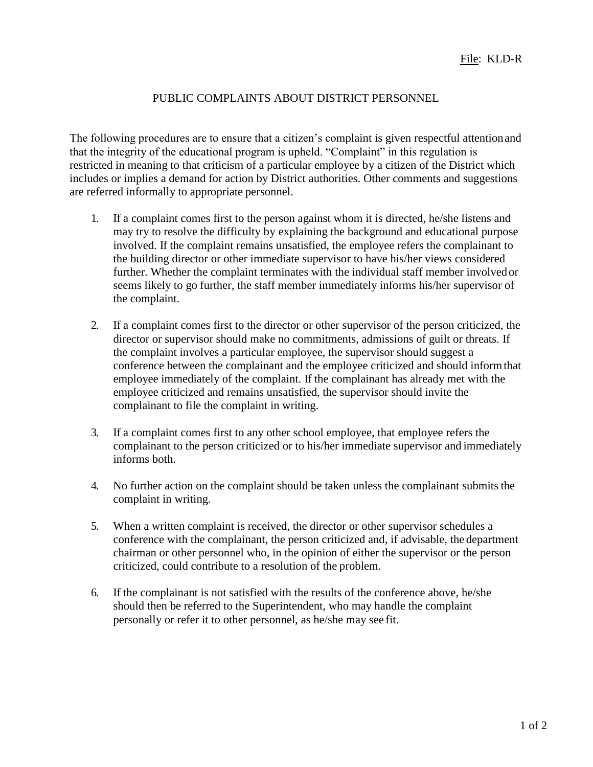# PUBLIC COMPLAINTS ABOUT DISTRICT PERSONNEL

The following procedures are to ensure that a citizen's complaint is given respectful attentionand that the integrity of the educational program is upheld. "Complaint" in this regulation is restricted in meaning to that criticism of a particular employee by a citizen of the District which includes or implies a demand for action by District authorities. Other comments and suggestions are referred informally to appropriate personnel.

- 1. If a complaint comes first to the person against whom it is directed, he/she listens and may try to resolve the difficulty by explaining the background and educational purpose involved. If the complaint remains unsatisfied, the employee refers the complainant to the building director or other immediate supervisor to have his/her views considered further. Whether the complaint terminates with the individual staff member involved or seems likely to go further, the staff member immediately informs his/her supervisor of the complaint.
- 2. If a complaint comes first to the director or other supervisor of the person criticized, the director or supervisor should make no commitments, admissions of guilt or threats. If the complaint involves a particular employee, the supervisor should suggest a conference between the complainant and the employee criticized and should informthat employee immediately of the complaint. If the complainant has already met with the employee criticized and remains unsatisfied, the supervisor should invite the complainant to file the complaint in writing.
- 3. If a complaint comes first to any other school employee, that employee refers the complainant to the person criticized or to his/her immediate supervisor and immediately informs both.
- 4. No further action on the complaint should be taken unless the complainant submits the complaint in writing.
- 5. When a written complaint is received, the director or other supervisor schedules a conference with the complainant, the person criticized and, if advisable, the department chairman or other personnel who, in the opinion of either the supervisor or the person criticized, could contribute to a resolution of the problem.
- 6. If the complainant is not satisfied with the results of the conference above, he/she should then be referred to the Superintendent, who may handle the complaint personally or refer it to other personnel, as he/she may see fit.